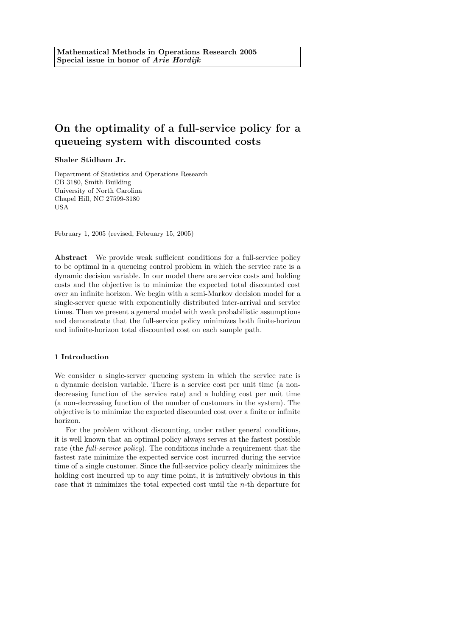# On the optimality of a full-service policy for a queueing system with discounted costs

### Shaler Stidham Jr.

Department of Statistics and Operations Research CB 3180, Smith Building University of North Carolina Chapel Hill, NC 27599-3180 USA

February 1, 2005 (revised, February 15, 2005)

Abstract We provide weak sufficient conditions for a full-service policy to be optimal in a queueing control problem in which the service rate is a dynamic decision variable. In our model there are service costs and holding costs and the objective is to minimize the expected total discounted cost over an infinite horizon. We begin with a semi-Markov decision model for a single-server queue with exponentially distributed inter-arrival and service times. Then we present a general model with weak probabilistic assumptions and demonstrate that the full-service policy minimizes both finite-horizon and infinite-horizon total discounted cost on each sample path.

#### 1 Introduction

We consider a single-server queueing system in which the service rate is a dynamic decision variable. There is a service cost per unit time (a nondecreasing function of the service rate) and a holding cost per unit time (a non-decreasing function of the number of customers in the system). The objective is to minimize the expected discounted cost over a finite or infinite horizon.

For the problem without discounting, under rather general conditions, it is well known that an optimal policy always serves at the fastest possible rate (the *full-service policy*). The conditions include a requirement that the fastest rate minimize the expected service cost incurred during the service time of a single customer. Since the full-service policy clearly minimizes the holding cost incurred up to any time point, it is intuitively obvious in this case that it minimizes the total expected cost until the n-th departure for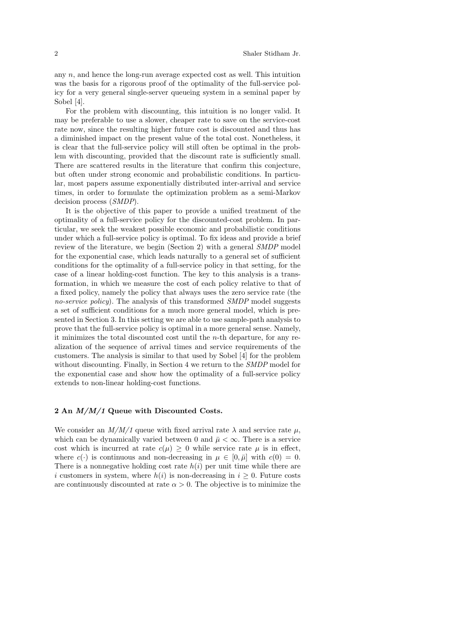any  $n$ , and hence the long-run average expected cost as well. This intuition was the basis for a rigorous proof of the optimality of the full-service policy for a very general single-server queueing system in a seminal paper by Sobel [4].

For the problem with discounting, this intuition is no longer valid. It may be preferable to use a slower, cheaper rate to save on the service-cost rate now, since the resulting higher future cost is discounted and thus has a diminished impact on the present value of the total cost. Nonetheless, it is clear that the full-service policy will still often be optimal in the problem with discounting, provided that the discount rate is sufficiently small. There are scattered results in the literature that confirm this conjecture, but often under strong economic and probabilistic conditions. In particular, most papers assume exponentially distributed inter-arrival and service times, in order to formulate the optimization problem as a semi-Markov decision process (SMDP).

It is the objective of this paper to provide a unified treatment of the optimality of a full-service policy for the discounted-cost problem. In particular, we seek the weakest possible economic and probabilistic conditions under which a full-service policy is optimal. To fix ideas and provide a brief review of the literature, we begin (Section 2) with a general SMDP model for the exponential case, which leads naturally to a general set of sufficient conditions for the optimality of a full-service policy in that setting, for the case of a linear holding-cost function. The key to this analysis is a transformation, in which we measure the cost of each policy relative to that of a fixed policy, namely the policy that always uses the zero service rate (the no-service policy). The analysis of this transformed SMDP model suggests a set of sufficient conditions for a much more general model, which is presented in Section 3. In this setting we are able to use sample-path analysis to prove that the full-service policy is optimal in a more general sense. Namely, it minimizes the total discounted cost until the n-th departure, for any realization of the sequence of arrival times and service requirements of the customers. The analysis is similar to that used by Sobel [4] for the problem without discounting. Finally, in Section 4 we return to the *SMDP* model for the exponential case and show how the optimality of a full-service policy extends to non-linear holding-cost functions.

## 2 An M/M/1 Queue with Discounted Costs.

We consider an  $M/M/1$  queue with fixed arrival rate  $\lambda$  and service rate  $\mu$ , which can be dynamically varied between 0 and  $\bar{\mu} < \infty$ . There is a service cost which is incurred at rate  $c(\mu) \geq 0$  while service rate  $\mu$  is in effect, where  $c(\cdot)$  is continuous and non-decreasing in  $\mu \in [0, \bar{\mu}]$  with  $c(0) = 0$ . There is a nonnegative holding cost rate  $h(i)$  per unit time while there are i customers in system, where  $h(i)$  is non-decreasing in  $i > 0$ . Future costs are continuously discounted at rate  $\alpha > 0$ . The objective is to minimize the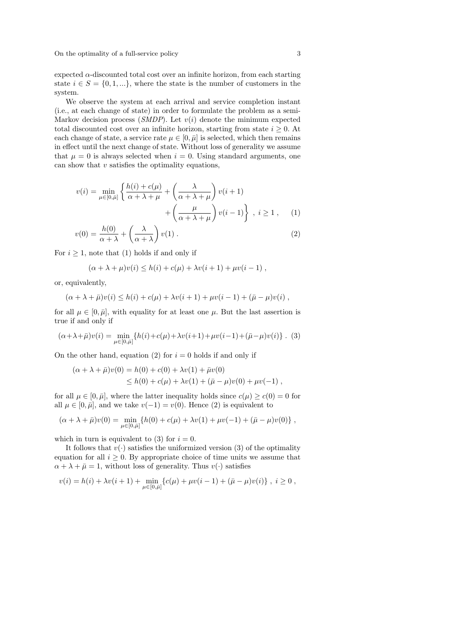On the optimality of a full-service policy 3

expected  $\alpha$ -discounted total cost over an infinite horizon, from each starting state  $i \in S = \{0, 1, ...\}$ , where the state is the number of customers in the system.

We observe the system at each arrival and service completion instant (i.e., at each change of state) in order to formulate the problem as a semi-Markov decision process (SMDP). Let  $v(i)$  denote the minimum expected total discounted cost over an infinite horizon, starting from state  $i \geq 0$ . At each change of state, a service rate  $\mu \in [0, \bar{\mu}]$  is selected, which then remains in effect until the next change of state. Without loss of generality we assume that  $\mu = 0$  is always selected when  $i = 0$ . Using standard arguments, one can show that  $v$  satisfies the optimality equations,

$$
v(i) = \min_{\mu \in [0,\bar{\mu}]} \left\{ \frac{h(i) + c(\mu)}{\alpha + \lambda + \mu} + \left( \frac{\lambda}{\alpha + \lambda + \mu} \right) v(i+1) + \left( \frac{\mu}{\alpha + \lambda + \mu} \right) v(i-1) \right\}, \ i \ge 1, \quad (1)
$$

$$
v(0) = \frac{h(0)}{\alpha + \lambda} + \left( \frac{\lambda}{\alpha + \lambda} \right) v(1).
$$

For  $i \geq 1$ , note that (1) holds if and only if

$$
(\alpha + \lambda + \mu)v(i) \le h(i) + c(\mu) + \lambda v(i+1) + \mu v(i-1) ,
$$

or, equivalently,

$$
(\alpha+\lambda+\bar\mu)v(i)\leq h(i)+c(\mu)+\lambda v(i+1)+\mu v(i-1)+(\bar\mu-\mu)v(i)\;,
$$

for all  $\mu \in [0, \bar{\mu}]$ , with equality for at least one  $\mu$ . But the last assertion is true if and only if

$$
(\alpha + \lambda + \bar{\mu})v(i) = \min_{\mu \in [0,\bar{\mu}]} \{h(i) + c(\mu) + \lambda v(i+1) + \mu v(i-1) + (\bar{\mu} - \mu)v(i)\} . (3)
$$

On the other hand, equation (2) for  $i = 0$  holds if and only if

$$
(\alpha + \lambda + \bar{\mu})v(0) = h(0) + c(0) + \lambda v(1) + \bar{\mu}v(0)
$$
  
\$\leq h(0) + c(\mu) + \lambda v(1) + (\bar{\mu} - \mu)v(0) + \mu v(-1)\$ ,

for all  $\mu \in [0, \bar{\mu}]$ , where the latter inequality holds since  $c(\mu) \geq c(0) = 0$  for all  $\mu \in [0, \bar{\mu}]$ , and we take  $v(-1) = v(0)$ . Hence (2) is equivalent to

$$
(\alpha + \lambda + \bar{\mu})v(0) = \min_{\mu \in [0,\bar{\mu}]} \{h(0) + c(\mu) + \lambda v(1) + \mu v(-1) + (\bar{\mu} - \mu)v(0)\},\,
$$

which in turn is equivalent to (3) for  $i = 0$ .

It follows that  $v(\cdot)$  satisfies the uniformized version (3) of the optimality equation for all  $i \geq 0$ . By appropriate choice of time units we assume that  $\alpha + \lambda + \bar{\mu} = 1$ , without loss of generality. Thus  $v(\cdot)$  satisfies

$$
v(i) = h(i) + \lambda v(i+1) + \min_{\mu \in [0,\bar{\mu}]} \{c(\mu) + \mu v(i-1) + (\bar{\mu} - \mu)v(i)\}, \ i \ge 0,
$$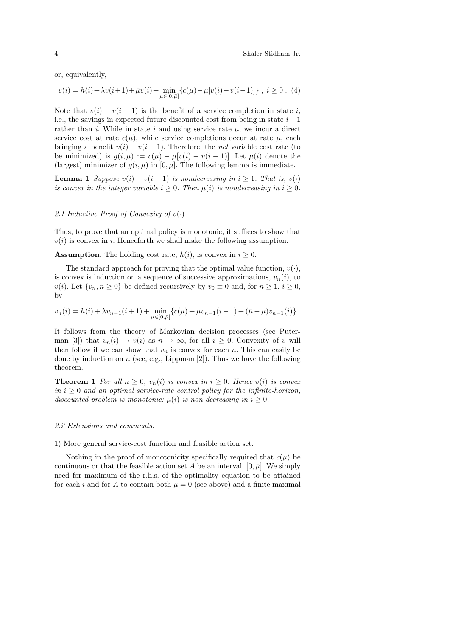or, equivalently,

$$
v(i) = h(i) + \lambda v(i+1) + \bar{\mu}v(i) + \min_{\mu \in [0,\bar{\mu}]} \{c(\mu) - \mu[v(i) - v(i-1)]\}, i \ge 0. (4)
$$

Note that  $v(i) - v(i-1)$  is the benefit of a service completion in state i, i.e., the savings in expected future discounted cost from being in state  $i - 1$ rather than i. While in state i and using service rate  $\mu$ , we incur a direct service cost at rate  $c(\mu)$ , while service completions occur at rate  $\mu$ , each bringing a benefit  $v(i) - v(i - 1)$ . Therefore, the *net* variable cost rate (to be minimized) is  $g(i, \mu) := c(\mu) - \mu[v(i) - v(i-1)]$ . Let  $\mu(i)$  denote the (largest) minimizer of  $q(i, \mu)$  in [0,  $\bar{\mu}$ ]. The following lemma is immediate.

**Lemma 1** Suppose  $v(i) - v(i-1)$  is nondecreasing in  $i \geq 1$ . That is,  $v(\cdot)$ is convex in the integer variable  $i \geq 0$ . Then  $\mu(i)$  is nondecreasing in  $i \geq 0$ .

#### 2.1 Inductive Proof of Convexity of  $v(\cdot)$

Thus, to prove that an optimal policy is monotonic, it suffices to show that  $v(i)$  is convex in i. Henceforth we shall make the following assumption.

**Assumption.** The holding cost rate,  $h(i)$ , is convex in  $i \geq 0$ .

The standard approach for proving that the optimal value function,  $v(\cdot)$ , is convex is induction on a sequence of successive approximations,  $v_n(i)$ , to  $v(i)$ . Let  $\{v_n, n \geq 0\}$  be defined recursively by  $v_0 \equiv 0$  and, for  $n \geq 1, i \geq 0$ , by

$$
v_n(i) = h(i) + \lambda v_{n-1}(i+1) + \min_{\mu \in [0,\bar{\mu}]} \{c(\mu) + \mu v_{n-1}(i-1) + (\bar{\mu} - \mu) v_{n-1}(i)\}.
$$

It follows from the theory of Markovian decision processes (see Puterman [3]) that  $v_n(i) \to v(i)$  as  $n \to \infty$ , for all  $i \geq 0$ . Convexity of v will then follow if we can show that  $v_n$  is convex for each n. This can easily be done by induction on  $n$  (see, e.g., Lippman [2]). Thus we have the following theorem.

**Theorem 1** For all  $n \geq 0$ ,  $v_n(i)$  is convex in  $i \geq 0$ . Hence  $v(i)$  is convex in  $i \geq 0$  and an optimal service-rate control policy for the infinite-horizon, discounted problem is monotonic:  $\mu(i)$  is non-decreasing in  $i \geq 0$ .

#### 2.2 Extensions and comments.

1) More general service-cost function and feasible action set.

Nothing in the proof of monotonicity specifically required that  $c(\mu)$  be continuous or that the feasible action set A be an interval,  $[0, \bar{\mu}]$ . We simply need for maximum of the r.h.s. of the optimality equation to be attained for each i and for A to contain both  $\mu = 0$  (see above) and a finite maximal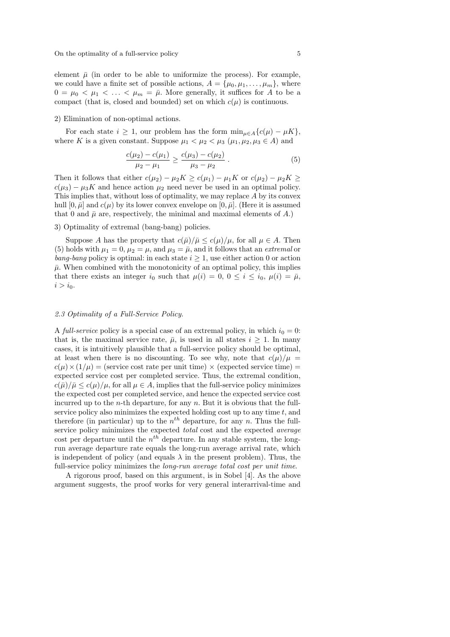element  $\bar{\mu}$  (in order to be able to uniformize the process). For example, we could have a finite set of possible actions,  $A = {\mu_0, \mu_1, ..., \mu_m}$ , where  $0 = \mu_0 < \mu_1 < \ldots < \mu_m = \bar{\mu}$ . More generally, it suffices for A to be a compact (that is, closed and bounded) set on which  $c(\mu)$  is continuous.

#### 2) Elimination of non-optimal actions.

For each state  $i \geq 1$ , our problem has the form  $\min_{\mu \in A} \{c(\mu) - \mu K\}$ , where K is a given constant. Suppose  $\mu_1 < \mu_2 < \mu_3$  ( $\mu_1, \mu_2, \mu_3 \in A$ ) and

$$
\frac{c(\mu_2) - c(\mu_1)}{\mu_2 - \mu_1} \ge \frac{c(\mu_3) - c(\mu_2)}{\mu_3 - \mu_2} \,. \tag{5}
$$

Then it follows that either  $c(\mu_2) - \mu_2 K \geq c(\mu_1) - \mu_1 K$  or  $c(\mu_2) - \mu_2 K \geq$  $c(\mu_3) - \mu_3 K$  and hence action  $\mu_2$  need never be used in an optimal policy. This implies that, without loss of optimality, we may replace A by its convex hull  $[0, \bar{\mu}]$  and  $c(\mu)$  by its lower convex envelope on  $[0, \bar{\mu}]$ . (Here it is assumed that 0 and  $\bar{\mu}$  are, respectively, the minimal and maximal elements of A.)

3) Optimality of extremal (bang-bang) policies.

Suppose A has the property that  $c(\bar{\mu})/\bar{\mu} \leq c(\mu)/\mu$ , for all  $\mu \in A$ . Then (5) holds with  $\mu_1 = 0$ ,  $\mu_2 = \mu$ , and  $\mu_3 = \bar{\mu}$ , and it follows that an *extremal* or bang-bang policy is optimal: in each state  $i \geq 1$ , use either action 0 or action  $\bar{\mu}$ . When combined with the monotonicity of an optimal policy, this implies that there exists an integer  $i_0$  such that  $\mu(i) = 0, 0 \le i \le i_0, \mu(i) = \bar{\mu}$ ,  $i > i_0$ .

#### 2.3 Optimality of a Full-Service Policy.

A full-service policy is a special case of an extremal policy, in which  $i_0 = 0$ : that is, the maximal service rate,  $\bar{\mu}$ , is used in all states  $i \geq 1$ . In many cases, it is intuitively plausible that a full-service policy should be optimal, at least when there is no discounting. To see why, note that  $c(\mu)/\mu =$  $c(\mu) \times (1/\mu) =$  (service cost rate per unit time)  $\times$  (expected service time) = expected service cost per completed service. Thus, the extremal condition,  $c(\bar{\mu})/\bar{\mu} \leq c(\mu)/\mu$ , for all  $\mu \in A$ , implies that the full-service policy minimizes the expected cost per completed service, and hence the expected service cost incurred up to the *n*-th departure, for any  $n$ . But it is obvious that the fullservice policy also minimizes the expected holding cost up to any time  $t$ , and therefore (in particular) up to the  $n<sup>th</sup>$  departure, for any n. Thus the fullservice policy minimizes the expected total cost and the expected average cost per departure until the  $n<sup>th</sup>$  departure. In any stable system, the longrun average departure rate equals the long-run average arrival rate, which is independent of policy (and equals  $\lambda$  in the present problem). Thus, the full-service policy minimizes the long-run average total cost per unit time.

A rigorous proof, based on this argument, is in Sobel [4]. As the above argument suggests, the proof works for very general interarrival-time and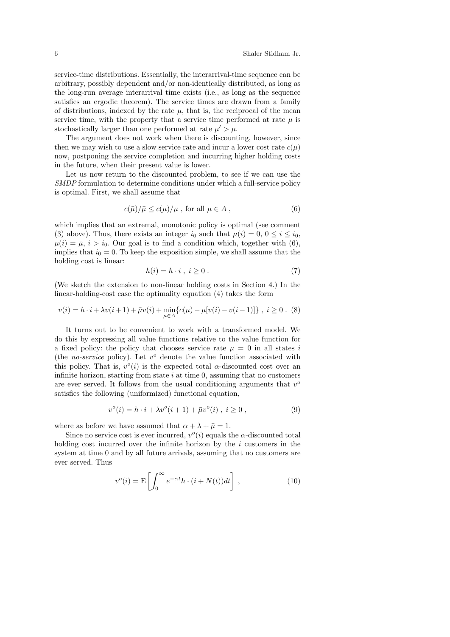service-time distributions. Essentially, the interarrival-time sequence can be arbitrary, possibly dependent and/or non-identically distributed, as long as the long-run average interarrival time exists (i.e., as long as the sequence satisfies an ergodic theorem). The service times are drawn from a family of distributions, indexed by the rate  $\mu$ , that is, the reciprocal of the mean service time, with the property that a service time performed at rate  $\mu$  is stochastically larger than one performed at rate  $\mu' > \mu$ .

The argument does not work when there is discounting, however, since then we may wish to use a slow service rate and incur a lower cost rate  $c(\mu)$ now, postponing the service completion and incurring higher holding costs in the future, when their present value is lower.

Let us now return to the discounted problem, to see if we can use the SMDP formulation to determine conditions under which a full-service policy is optimal. First, we shall assume that

$$
c(\bar{\mu})/\bar{\mu} \le c(\mu)/\mu \text{ , for all } \mu \in A , \qquad (6)
$$

which implies that an extremal, monotonic policy is optimal (see comment (3) above). Thus, there exists an integer  $i_0$  such that  $\mu(i) = 0, 0 \le i \le i_0$ ,  $\mu(i) = \bar{\mu}, i > i_0$ . Our goal is to find a condition which, together with (6), implies that  $i_0 = 0$ . To keep the exposition simple, we shall assume that the holding cost is linear:

$$
h(i) = h \cdot i \ , \ i \ge 0 \ . \tag{7}
$$

(We sketch the extension to non-linear holding costs in Section 4.) In the linear-holding-cost case the optimality equation (4) takes the form

$$
v(i) = h \cdot i + \lambda v(i+1) + \bar{\mu} v(i) + \min_{\mu \in A} \{ c(\mu) - \mu[v(i) - v(i-1)] \} , \ i \ge 0 . \ (8)
$$

It turns out to be convenient to work with a transformed model. We do this by expressing all value functions relative to the value function for a fixed policy: the policy that chooses service rate  $\mu = 0$  in all states i (the no-service policy). Let  $v^{\circ}$  denote the value function associated with this policy. That is,  $v^o(i)$  is the expected total  $\alpha$ -discounted cost over an infinite horizon, starting from state  $i$  at time  $0$ , assuming that no customers are ever served. It follows from the usual conditioning arguments that  $v^o$ satisfies the following (uniformized) functional equation,

$$
v^{o}(i) = h \cdot i + \lambda v^{o}(i+1) + \bar{\mu}v^{o}(i) , \ i \ge 0 , \qquad (9)
$$

where as before we have assumed that  $\alpha + \lambda + \bar{\mu} = 1$ .

Since no service cost is ever incurred,  $v^o(i)$  equals the  $\alpha$ -discounted total holding cost incurred over the infinite horizon by the  $i$  customers in the system at time 0 and by all future arrivals, assuming that no customers are ever served. Thus

$$
v^{o}(i) = \mathcal{E}\left[\int_{0}^{\infty} e^{-\alpha t} h \cdot (i + N(t)) dt\right],
$$
\n(10)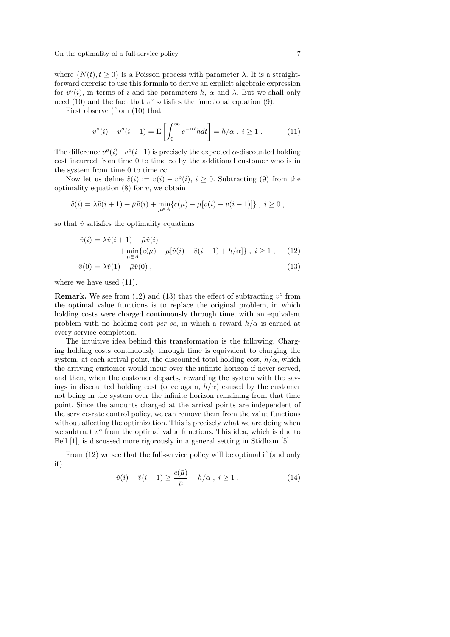On the optimality of a full-service policy 7  $\,$ 

where  $\{N(t), t \geq 0\}$  is a Poisson process with parameter  $\lambda$ . It is a straightforward exercise to use this formula to derive an explicit algebraic expression for  $v^o(i)$ , in terms of i and the parameters h,  $\alpha$  and  $\lambda$ . But we shall only need (10) and the fact that  $v^{\circ}$  satisfies the functional equation (9).

First observe (from (10) that

$$
v^{o}(i) - v^{o}(i-1) = \mathcal{E}\left[\int_{0}^{\infty} e^{-\alpha t} h dt\right] = h/\alpha , i \ge 1.
$$
 (11)

The difference  $v^o(i) - v^o(i-1)$  is precisely the expected  $\alpha$ -discounted holding cost incurred from time 0 to time  $\infty$  by the additional customer who is in the system from time 0 to time  $\infty$ .

Now let us define  $\tilde{v}(i) := v(i) - v^o(i), i \geq 0$ . Subtracting (9) from the optimality equation  $(8)$  for  $v$ , we obtain

$$
\tilde{v}(i) = \lambda \tilde{v}(i+1) + \bar{\mu}\tilde{v}(i) + \min_{\mu \in A} \{c(\mu) - \mu[v(i) - v(i-1)]\}, \ i \ge 0,
$$

so that  $\tilde{v}$  satisfies the optimality equations

$$
\tilde{v}(i) = \lambda \tilde{v}(i+1) + \bar{\mu}\tilde{v}(i) \n+ \min_{\mu \in A} \{ c(\mu) - \mu[\tilde{v}(i) - \tilde{v}(i-1) + h/\alpha] \}, \ i \ge 1 ,
$$
\n(12)

$$
\tilde{v}(0) = \lambda \tilde{v}(1) + \bar{\mu}\tilde{v}(0) , \qquad (13)
$$

where we have used  $(11)$ .

**Remark.** We see from  $(12)$  and  $(13)$  that the effect of subtracting  $v^o$  from the optimal value functions is to replace the original problem, in which holding costs were charged continuously through time, with an equivalent problem with no holding cost per se, in which a reward  $h/\alpha$  is earned at every service completion.

The intuitive idea behind this transformation is the following. Charging holding costs continuously through time is equivalent to charging the system, at each arrival point, the discounted total holding cost,  $h/\alpha$ , which the arriving customer would incur over the infinite horizon if never served, and then, when the customer departs, rewarding the system with the savings in discounted holding cost (once again,  $h/\alpha$ ) caused by the customer not being in the system over the infinite horizon remaining from that time point. Since the amounts charged at the arrival points are independent of the service-rate control policy, we can remove them from the value functions without affecting the optimization. This is precisely what we are doing when we subtract  $v^o$  from the optimal value functions. This idea, which is due to Bell [1], is discussed more rigorously in a general setting in Stidham [5].

From (12) we see that the full-service policy will be optimal if (and only if)

$$
\tilde{v}(i) - \tilde{v}(i-1) \ge \frac{c(\bar{\mu})}{\bar{\mu}} - h/\alpha \ , \ i \ge 1 \ . \tag{14}
$$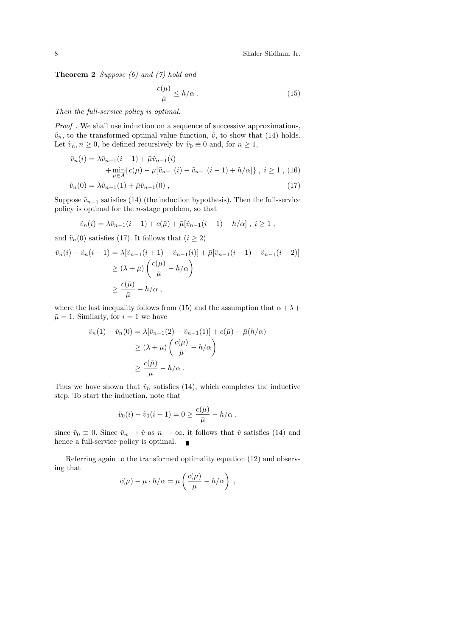8 Shaler Stidham Jr.

**Theorem 2** Suppose  $(6)$  and  $(7)$  hold and

$$
\frac{c(\bar{\mu})}{\bar{\mu}} \le h/\alpha \ . \tag{15}
$$

Then the full-service policy is optimal.

Proof. We shall use induction on a sequence of successive approximations,  $\tilde{v}_n$ , to the transformed optimal value function,  $\tilde{v}$ , to show that (14) holds. Let  $\tilde{v}_n, n \geq 0$ , be defined recursively by  $\tilde{v}_0 \equiv 0$  and, for  $n \geq 1$ ,

$$
\tilde{v}_n(i) = \lambda \tilde{v}_{n-1}(i+1) + \bar{\mu} \tilde{v}_{n-1}(i) \n+ \min_{\mu \in A} \{ c(\mu) - \mu [\tilde{v}_{n-1}(i) - \tilde{v}_{n-1}(i-1) + h/\alpha] \}, \ i \ge 1 , (16) \n\tilde{v}_n(0) = \lambda \tilde{v}_{n-1}(1) + \bar{\mu} \tilde{v}_{n-1}(0) ,
$$
\n(17)

Suppose  $\tilde{v}_{n-1}$  satisfies (14) (the induction hypothesis). Then the full-service policy is optimal for the n-stage problem, so that

$$
\tilde{v}_n(i) = \lambda \tilde{v}_{n-1}(i+1) + c(\bar{\mu}) + \bar{\mu}[\tilde{v}_{n-1}(i-1) - h/\alpha], i \ge 1,
$$

and  $\tilde{v}_n(0)$  satisfies (17). It follows that  $(i \geq 2)$ 

$$
\tilde{v}_n(i) - \tilde{v}_n(i-1) = \lambda [\tilde{v}_{n-1}(i+1) - \tilde{v}_{n-1}(i)] + \bar{\mu} [\tilde{v}_{n-1}(i-1) - \tilde{v}_{n-1}(i-2)]
$$
  
\n
$$
\geq (\lambda + \bar{\mu}) \left( \frac{c(\bar{\mu})}{\bar{\mu}} - h/\alpha \right)
$$
  
\n
$$
\geq \frac{c(\bar{\mu})}{\bar{\mu}} - h/\alpha ,
$$

where the last inequality follows from (15) and the assumption that  $\alpha + \lambda +$  $\bar{\mu} = 1$ . Similarly, for  $i = 1$  we have

$$
\tilde{v}_n(1) - \tilde{v}_n(0) = \lambda [\tilde{v}_{n-1}(2) - \tilde{v}_{n-1}(1)] + c(\bar{\mu}) - \bar{\mu}(h/\alpha)
$$

$$
\geq (\lambda + \bar{\mu}) \left( \frac{c(\bar{\mu})}{\bar{\mu}} - h/\alpha \right)
$$

$$
\geq \frac{c(\bar{\mu})}{\bar{\mu}} - h/\alpha.
$$

Thus we have shown that  $\tilde{v}_n$  satisfies (14), which completes the inductive step. To start the induction, note that

$$
\tilde{v}_0(i) - \tilde{v}_0(i-1) = 0 \ge \frac{c(\bar{\mu})}{\bar{\mu}} - h/\alpha
$$
,

since  $\tilde{v}_0 \equiv 0$ . Since  $\tilde{v}_n \to \tilde{v}$  as  $n \to \infty$ , it follows that  $\tilde{v}$  satisfies (14) and hence a full-service policy is optimal.  $\overline{1}$ 

Referring again to the transformed optimality equation (12) and observing that  $\mathcal{L}$  control  $\mathcal{L}$ 

$$
c(\mu) - \mu \cdot h/\alpha = \mu \left( \frac{c(\mu)}{\mu} - h/\alpha \right) ,
$$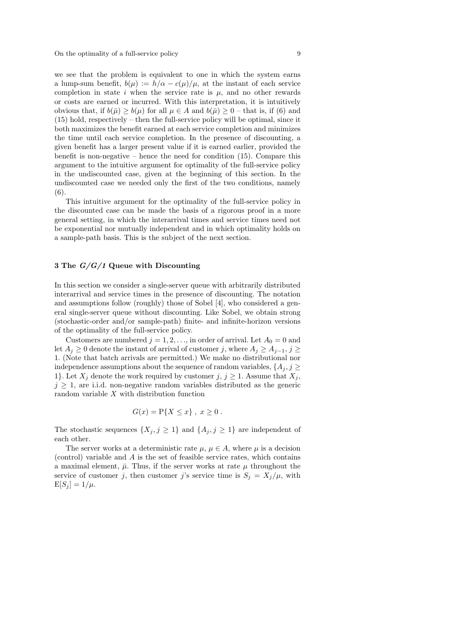we see that the problem is equivalent to one in which the system earns a lump-sum benefit,  $b(\mu) := h/\alpha - c(\mu)/\mu$ , at the instant of each service completion in state i when the service rate is  $\mu$ , and no other rewards or costs are earned or incurred. With this interpretation, it is intuitively obvious that, if  $b(\bar{\mu}) \ge b(\mu)$  for all  $\mu \in A$  and  $b(\bar{\mu}) \ge 0$  – that is, if (6) and (15) hold, respectively – then the full-service policy will be optimal, since it both maximizes the benefit earned at each service completion and minimizes the time until each service completion. In the presence of discounting, a given benefit has a larger present value if it is earned earlier, provided the benefit is non-negative – hence the need for condition (15). Compare this argument to the intuitive argument for optimality of the full-service policy in the undiscounted case, given at the beginning of this section. In the undiscounted case we needed only the first of the two conditions, namely (6).

This intuitive argument for the optimality of the full-service policy in the discounted case can be made the basis of a rigorous proof in a more general setting, in which the interarrival times and service times need not be exponential nor mutually independent and in which optimality holds on a sample-path basis. This is the subject of the next section.

#### 3 The G/G/1 Queue with Discounting

In this section we consider a single-server queue with arbitrarily distributed interarrival and service times in the presence of discounting. The notation and assumptions follow (roughly) those of Sobel [4], who considered a general single-server queue without discounting. Like Sobel, we obtain strong (stochastic-order and/or sample-path) finite- and infinite-horizon versions of the optimality of the full-service policy.

Customers are numbered  $j = 1, 2, \ldots$ , in order of arrival. Let  $A_0 = 0$  and let  $A_i \geq 0$  denote the instant of arrival of customer j, where  $A_i \geq A_{i-1}, j \geq 1$ 1. (Note that batch arrivals are permitted.) We make no distributional nor independence assumptions about the sequence of random variables,  $\{A_i, j \geq j\}$ 1}. Let  $X_j$  denote the work required by customer  $j, j \geq 1$ . Assume that  $X_j$ ,  $j \geq 1$ , are i.i.d. non-negative random variables distributed as the generic random variable X with distribution function

$$
G(x) = P\{X \le x\}, \quad x \ge 0.
$$

The stochastic sequences  $\{X_j, j \geq 1\}$  and  $\{A_j, j \geq 1\}$  are independent of each other.

The server works at a deterministic rate  $\mu$ ,  $\mu \in A$ , where  $\mu$  is a decision (control) variable and A is the set of feasible service rates, which contains a maximal element,  $\bar{\mu}$ . Thus, if the server works at rate  $\mu$  throughout the service of customer j, then customer j's service time is  $S_j = X_j/\mu$ , with  $E[S_i] = 1/\mu$ .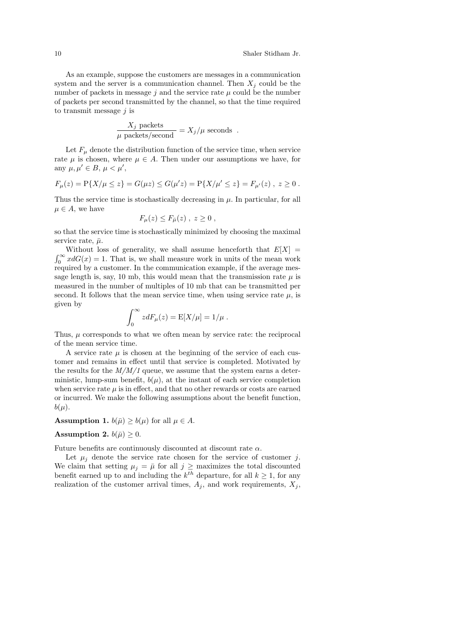As an example, suppose the customers are messages in a communication system and the server is a communication channel. Then  $X_j$  could be the number of packets in message j and the service rate  $\mu$  could be the number of packets per second transmitted by the channel, so that the time required to transmit message  $j$  is

$$
\frac{X_j \text{ packets}}{\mu \text{ packets/second}} = X_j/\mu \text{ seconds} .
$$

Let  $F_{\mu}$  denote the distribution function of the service time, when service rate  $\mu$  is chosen, where  $\mu \in A$ . Then under our assumptions we have, for any  $\mu, \mu' \in B, \mu < \mu'$ ,

$$
F_{\mu}(z) = P\{X/\mu \leq z\} = G(\mu z) \leq G(\mu' z) = P\{X/\mu' \leq z\} = F_{\mu'}(z) , z \geq 0.
$$

Thus the service time is stochastically decreasing in  $\mu$ . In particular, for all  $\mu \in A$ , we have

$$
F_{\mu}(z) \leq F_{\bar{\mu}}(z) , z \geq 0 ,
$$

so that the service time is stochastically minimized by choosing the maximal service rate,  $\bar{\mu}$ .

Without loss of generality, we shall assume henceforth that  $E[X] =$  $\int_0^\infty x dG(x) = 1$ . That is, we shall measure work in units of the mean work required by a customer. In the communication example, if the average message length is, say, 10 mb, this would mean that the transmission rate  $\mu$  is measured in the number of multiples of 10 mb that can be transmitted per second. It follows that the mean service time, when using service rate  $\mu$ , is given by

$$
\int_0^\infty z dF_\mu(z) = \mathcal{E}[X/\mu] = 1/\mu.
$$

Thus,  $\mu$  corresponds to what we often mean by service rate: the reciprocal of the mean service time.

A service rate  $\mu$  is chosen at the beginning of the service of each customer and remains in effect until that service is completed. Motivated by the results for the  $M/M/1$  queue, we assume that the system earns a deterministic, lump-sum benefit,  $b(\mu)$ , at the instant of each service completion when service rate  $\mu$  is in effect, and that no other rewards or costs are earned or incurred. We make the following assumptions about the benefit function,  $b(\mu)$ .

## **Assumption 1.**  $b(\bar{\mu}) \ge b(\mu)$  for all  $\mu \in A$ .

## Assumption 2.  $b(\bar{\mu}) \geq 0$ .

Future benefits are continuously discounted at discount rate  $\alpha$ .

Let  $\mu_j$  denote the service rate chosen for the service of customer j. We claim that setting  $\mu_i = \bar{\mu}$  for all  $j \ge$  maximizes the total discounted benefit earned up to and including the  $k^{th}$  departure, for all  $k \geq 1$ , for any realization of the customer arrival times,  $A_i$ , and work requirements,  $X_i$ ,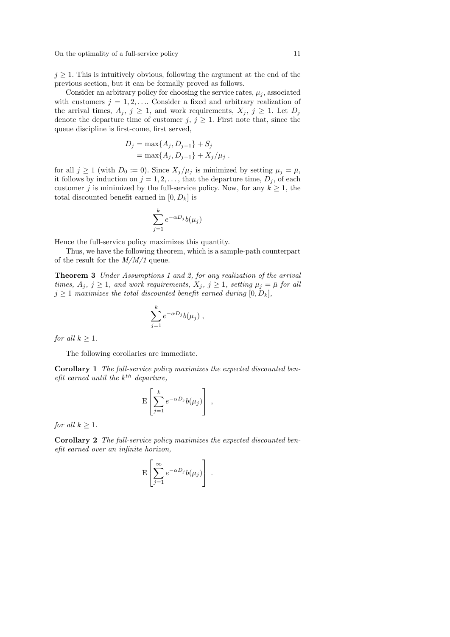$j \geq 1$ . This is intuitively obvious, following the argument at the end of the previous section, but it can be formally proved as follows.

Consider an arbitrary policy for choosing the service rates,  $\mu_i$ , associated with customers  $j = 1, 2, \ldots$  Consider a fixed and arbitrary realization of the arrival times,  $A_j$ ,  $j \geq 1$ , and work requirements,  $X_j$ ,  $j \geq 1$ . Let  $D_j$ denote the departure time of customer j,  $j \geq 1$ . First note that, since the queue discipline is first-come, first served,

$$
D_j = \max\{A_j, D_{j-1}\} + S_j
$$
  
= 
$$
\max\{A_j, D_{j-1}\} + X_j/\mu_j.
$$

for all  $j \ge 1$  (with  $D_0 := 0$ ). Since  $X_j/\mu_j$  is minimized by setting  $\mu_j = \bar{\mu}$ , it follows by induction on  $j = 1, 2, \ldots$ , that the departure time,  $D_j$ , of each customer j is minimized by the full-service policy. Now, for any  $k \geq 1$ , the total discounted benefit earned in  $[0, D_k]$  is

$$
\sum_{j=1}^k e^{-\alpha D_j} b(\mu_j)
$$

Hence the full-service policy maximizes this quantity.

Thus, we have the following theorem, which is a sample-path counterpart of the result for the  $M/M/1$  queue.

Theorem 3 Under Assumptions 1 and 2, for any realization of the arrival times,  $A_j$ ,  $j \geq 1$ , and work requirements,  $X_j$ ,  $j \geq 1$ , setting  $\mu_j = \bar{\mu}$  for all  $j \geq 1$  maximizes the total discounted benefit earned during  $[0, D_k]$ ,

$$
\sum_{j=1}^k e^{-\alpha D_j} b(\mu_j) ,
$$

for all  $k \geq 1$ .

The following corollaries are immediate.

Corollary 1 The full-service policy maximizes the expected discounted benefit earned until the  $k^{th}$  departure,

$$
\mathrm{E}\left[\sum_{j=1}^k e^{-\alpha D_j}b(\mu_j)\right],
$$

for all  $k \geq 1$ .

Corollary 2 The full-service policy maximizes the expected discounted benefit earned over an infinite horizon,

$$
\mathrm{E}\left[\sum_{j=1}^{\infty}e^{-\alpha D_j}b(\mu_j)\right].
$$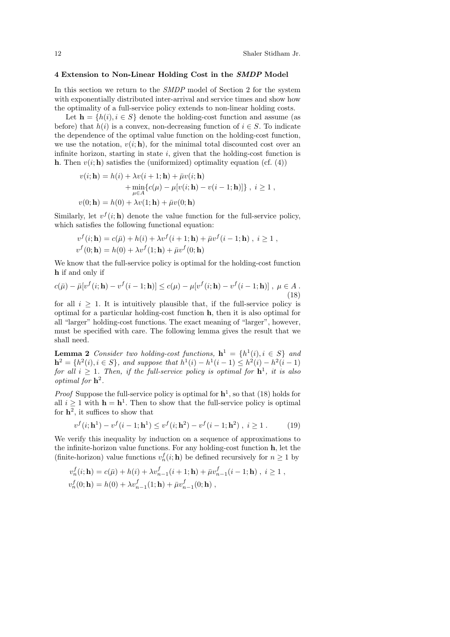#### 4 Extension to Non-Linear Holding Cost in the SMDP Model

In this section we return to the SMDP model of Section 2 for the system with exponentially distributed inter-arrival and service times and show how the optimality of a full-service policy extends to non-linear holding costs.

Let  $h = \{h(i), i \in S\}$  denote the holding-cost function and assume (as before) that  $h(i)$  is a convex, non-decreasing function of  $i \in S$ . To indicate the dependence of the optimal value function on the holding-cost function, we use the notation,  $v(i; h)$ , for the minimal total discounted cost over an infinite horizon, starting in state  $i$ , given that the holding-cost function is **h**. Then  $v(i; h)$  satisfies the (uniformized) optimality equation (cf. (4))

$$
v(i; \mathbf{h}) = h(i) + \lambda v(i+1; \mathbf{h}) + \bar{\mu}v(i; \mathbf{h})
$$
  
+ 
$$
\min_{\mu \in A} \{c(\mu) - \mu[v(i; \mathbf{h}) - v(i-1; \mathbf{h})]\}, i \ge 1,
$$
  

$$
v(0; \mathbf{h}) = h(0) + \lambda v(1; \mathbf{h}) + \bar{\mu}v(0; \mathbf{h})
$$

Similarly, let  $v^f(i; \mathbf{h})$  denote the value function for the full-service policy, which satisfies the following functional equation:

$$
v^f(i; \mathbf{h}) = c(\bar{\mu}) + h(i) + \lambda v^f(i+1; \mathbf{h}) + \bar{\mu} v^f(i-1; \mathbf{h}), \ i \ge 1,
$$
  

$$
v^f(0; \mathbf{h}) = h(0) + \lambda v^f(1; \mathbf{h}) + \bar{\mu} v^f(0; \mathbf{h})
$$

We know that the full-service policy is optimal for the holding-cost function h if and only if

$$
c(\bar{\mu}) - \bar{\mu}[v^f(i; \mathbf{h}) - v^f(i-1; \mathbf{h})] \le c(\mu) - \mu[v^f(i; \mathbf{h}) - v^f(i-1; \mathbf{h})], \ \mu \in A.
$$
\n(18)

for all  $i \geq 1$ . It is intuitively plausible that, if the full-service policy is optimal for a particular holding-cost function h, then it is also optimal for all "larger" holding-cost functions. The exact meaning of "larger", however, must be specified with care. The following lemma gives the result that we shall need.

**Lemma 2** Consider two holding-cost functions,  $h^1 = \{h^1(i), i \in S\}$  and  $h^2 = \{h^2(i), i \in S\}$ , and suppose that  $h^1(i) - h^1(i-1) \leq h^2(i) - h^2(i-1)$ for all  $i \geq 1$ . Then, if the full-service policy is optimal for  $h^1$ , it is also optimal for  $h^2$ .

*Proof* Suppose the full-service policy is optimal for  $h^1$ , so that (18) holds for all  $i \geq 1$  with  $\mathbf{h} = \mathbf{h}^1$ . Then to show that the full-service policy is optimal for  $h^2$ , it suffices to show that

$$
v^f(i; \mathbf{h}^1) - v^f(i-1; \mathbf{h}^1) \le v^f(i; \mathbf{h}^2) - v^f(i-1; \mathbf{h}^2) , i \ge 1 .
$$
 (19)

We verify this inequality by induction on a sequence of approximations to the infinite-horizon value functions. For any holding-cost function h, let the (finite-horizon) value functions  $v_n^f(i; \mathbf{h})$  be defined recursively for  $n \geq 1$  by

$$
v_n^f(i; \mathbf{h}) = c(\bar{\mu}) + h(i) + \lambda v_{n-1}^f(i+1; \mathbf{h}) + \bar{\mu} v_{n-1}^f(i-1; \mathbf{h}), \ i \ge 1,
$$
  

$$
v_n^f(0; \mathbf{h}) = h(0) + \lambda v_{n-1}^f(1; \mathbf{h}) + \bar{\mu} v_{n-1}^f(0; \mathbf{h}),
$$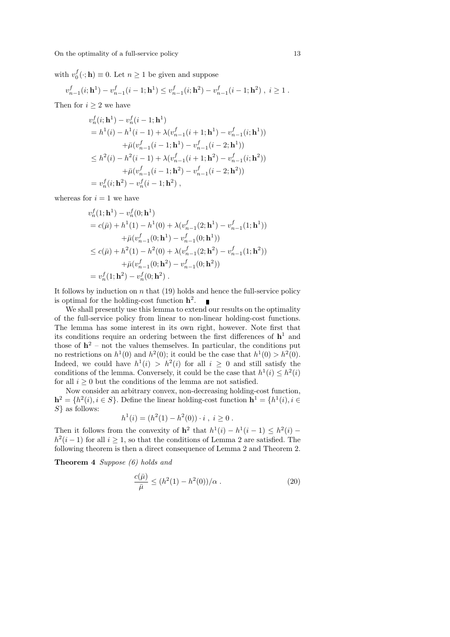with  $v_0^f(\cdot; \mathbf{h}) \equiv 0$ . Let  $n \ge 1$  be given and suppose

$$
v_{n-1}^f(i; \mathbf{h}^1) - v_{n-1}^f(i-1; \mathbf{h}^1) \le v_{n-1}^f(i; \mathbf{h}^2) - v_{n-1}^f(i-1; \mathbf{h}^2) , i \ge 1.
$$

Then for  $i \geq 2$  we have

$$
v_n^f(i; \mathbf{h}^1) - v_n^f(i-1; \mathbf{h}^1)
$$
  
=  $h^1(i) - h^1(i-1) + \lambda(v_{n-1}^f(i+1; \mathbf{h}^1) - v_{n-1}^f(i; \mathbf{h}^1))$   
 $+ \bar{\mu}(v_{n-1}^f(i-1; \mathbf{h}^1) - v_{n-1}^f(i-2; \mathbf{h}^1))$   
 $\leq h^2(i) - h^2(i-1) + \lambda(v_{n-1}^f(i+1; \mathbf{h}^2) - v_{n-1}^f(i; \mathbf{h}^2))$   
 $+ \bar{\mu}(v_{n-1}^f(i-1; \mathbf{h}^2) - v_{n-1}^f(i-2; \mathbf{h}^2))$   
=  $v_n^f(i; \mathbf{h}^2) - v_n^f(i-1; \mathbf{h}^2)$ ,

whereas for  $i = 1$  we have

$$
\begin{aligned} v_n^f(1;{\bf h}^1) &- v_n^f(0;{\bf h}^1) \\ & = c(\bar{\mu}) + h^1(1) - h^1(0) + \lambda (v_{n-1}^f(2;{\bf h}^1) - v_{n-1}^f(1;{\bf h}^1)) \\ & \quad + \bar{\mu} (v_{n-1}^f(0;{\bf h}^1) - v_{n-1}^f(0;{\bf h}^1)) \\ & \leq c(\bar{\mu}) + h^2(1) - h^2(0) + \lambda (v_{n-1}^f(2;{\bf h}^2) - v_{n-1}^f(1;{\bf h}^2)) \\ & \quad + \bar{\mu} (v_{n-1}^f(0;{\bf h}^2) - v_{n-1}^f(0;{\bf h}^2)) \\ & = v_n^f(1;{\bf h}^2) - v_n^f(0;{\bf h}^2) \ . \end{aligned}
$$

It follows by induction on  $n$  that (19) holds and hence the full-service policy is optimal for the holding-cost function  $h^2$ .

We shall presently use this lemma to extend our results on the optimality of the full-service policy from linear to non-linear holding-cost functions. The lemma has some interest in its own right, however. Note first that its conditions require an ordering between the first differences of  $h<sup>1</sup>$  and those of  $h^2$  – not the values themselves. In particular, the conditions put no restrictions on  $h^1(0)$  and  $h^2(0)$ ; it could be the case that  $h^1(0) > h^2(0)$ . Indeed, we could have  $h^1(i) > h^2(i)$  for all  $i \geq 0$  and still satisfy the conditions of the lemma. Conversely, it could be the case that  $h^1(i) \leq h^2(i)$ for all  $i \geq 0$  but the conditions of the lemma are not satisfied.

Now consider an arbitrary convex, non-decreasing holding-cost function,  $h^2 = \{h^2(i), i \in S\}$ . Define the linear holding-cost function  $h^1 = \{h^1(i), i \in S\}$ .  $S$ } as follows:

$$
h^{1}(i) = (h^{2}(1) - h^{2}(0)) \cdot i , i \ge 0 .
$$

Then it follows from the convexity of  $h^2$  that  $h^1(i) - h^1(i-1) \leq h^2(i)$  $h^2(i-1)$  for all  $i \geq 1$ , so that the conditions of Lemma 2 are satisfied. The following theorem is then a direct consequence of Lemma 2 and Theorem 2.

Theorem 4 Suppose (6) holds and

$$
\frac{c(\bar{\mu})}{\bar{\mu}} \le (h^2(1) - h^2(0))/\alpha \,. \tag{20}
$$